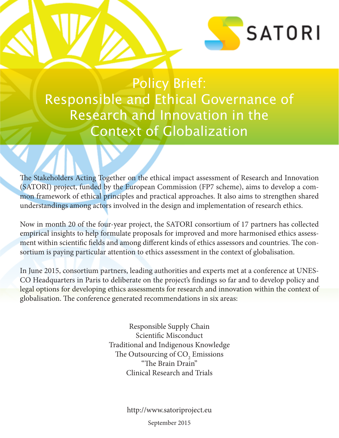

Policy Brief: Responsible and Ethical Governance of Research and Innovation in the Context of Globalization

The Stakeholders Acting Together on the ethical impact assessment of Research and Innovation (SATORI) project, funded by the European Commission (FP7 scheme), aims to develop a common framework of ethical principles and practical approaches. It also aims to strengthen shared understandings among actors involved in the design and implementation of research ethics.

Now in month 20 of the four-year project, the SATORI consortium of 17 partners has collected empirical insights to help formulate proposals for improved and more harmonised ethics assessment within scientific fields and among different kinds of ethics assessors and countries. The consortium is paying particular attention to ethics assessment in the context of globalisation.

In June 2015, consortium partners, leading authorities and experts met at a conference at UNES-CO Headquarters in Paris to deliberate on the project's findings so far and to develop policy and legal options for developing ethics assessments for research and innovation within the context of globalisation. The conference generated recommendations in six areas:

> Responsible Supply Chain Scientific Misconduct Traditional and Indigenous Knowledge The Outsourcing of  $\mathrm{CO}_2$  Emissions "The Brain Drain" Clinical Research and Trials

> > http://www.satoriproject.eu

September 2015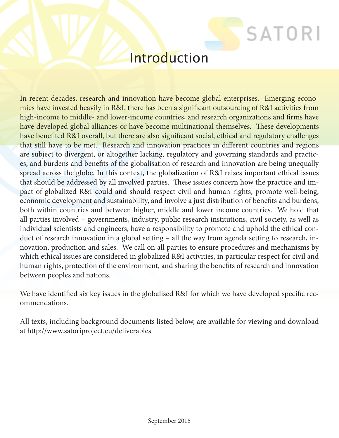## **Introduction**

**SATORI** 

In recent decades, research and innovation have become global enterprises. Emerging economies have invested heavily in R&I, there has been a significant outsourcing of R&I activities from high-income to middle- and lower-income countries, and research organizations and firms have have developed global alliances or have become multinational themselves. These developments have benefited R&I overall, but there are also significant social, ethical and regulatory challenges that still have to be met. Research and innovation practices in different countries and regions are subject to divergent, or altogether lacking, regulatory and governing standards and practices, and burdens and benefits of the globalisation of research and innovation are being unequally spread across the globe. In this context, the globalization of R&I raises important ethical issues that should be addressed by all involved parties. These issues concern how the practice and impact of globalized R&I could and should respect civil and human rights, promote well-being, economic development and sustainability, and involve a just distribution of benefits and burdens, both within countries and between higher, middle and lower income countries. We hold that all parties involved – governments, industry, public research institutions, civil society, as well as individual scientists and engineers, have a responsibility to promote and uphold the ethical conduct of research innovation in a global setting – all the way from agenda setting to research, innovation, production and sales. We call on all parties to ensure procedures and mechanisms by which ethical issues are considered in globalized R&I activities, in particular respect for civil and human rights, protection of the environment, and sharing the benefits of research and innovation between peoples and nations.

We have identified six key issues in the globalised R&I for which we have developed specific recommendations.

All texts, including background documents listed below, are available for viewing and download at http://www.satoriproject.eu/deliverables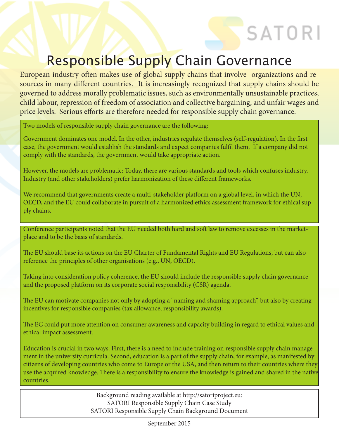# SATORI

## Responsible Supply Chain Governance

European industry often makes use of global supply chains that involve organizations and resources in many different countries. It is increasingly recognized that supply chains should be governed to address morally problematic issues, such as environmentally unsustainable practices, child labour, repression of freedom of association and collective bargaining, and unfair wages and price levels. Serious efforts are therefore needed for responsible supply chain governance.

Two models of responsible supply chain governance are the following:

Government dominates one model. In the other, industries regulate themselves (self-regulation). In the first case, the government would establish the standards and expect companies fulfil them. If a company did not comply with the standards, the government would take appropriate action.

However, the models are problematic: Today, there are various standards and tools which confuses industry. Industry (and other stakeholders) prefer harmonization of these different frameworks.

We recommend that governments create a multi-stakeholder platform on a global level, in which the UN, OECD, and the EU could collaborate in pursuit of a harmonized ethics assessment framework for ethical supply chains.

Conference participants noted that the EU needed both hard and soft law to remove excesses in the marketplace and to be the basis of standards.

The EU should base its actions on the EU Charter of Fundamental Rights and EU Regulations, but can also reference the principles of other organisations (e.g., UN, OECD).

Taking into consideration policy coherence, the EU should include the responsible supply chain governance and the proposed platform on its corporate social responsibility (CSR) agenda.

The EU can motivate companies not only by adopting a "naming and shaming approach", but also by creating incentives for responsible companies (tax allowance, responsibility awards).

The EC could put more attention on consumer awareness and capacity building in regard to ethical values and ethical impact assessment.

Education is crucial in two ways. First, there is a need to include training on responsible supply chain management in the university curricula. Second, education is a part of the supply chain, for example, as manifested by citizens of developing countries who come to Europe or the USA, and then return to their countries where they use the acquired knowledge. There is a responsibility to ensure the knowledge is gained and shared in the native countries.

> Background reading available at http://satoriproject.eu: SATORI Responsible Supply Chain Case Study SATORI Responsible Supply Chain Background Document

> > September 2015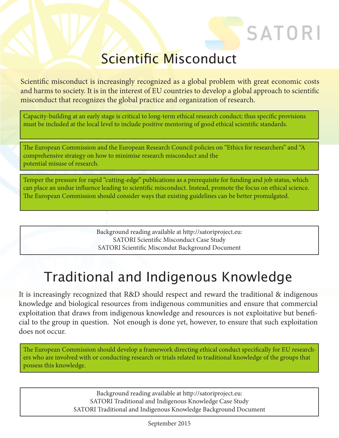## Scientific Misconduct

SATORI

Scientific misconduct is increasingly recognized as a global problem with great economic costs and harms to society. It is in the interest of EU countries to develop a global approach to scientific misconduct that recognizes the global practice and organization of research.

Capacity-building at an early stage is critical to long-term ethical research conduct; thus specific provisions must be included at the local level to include positive mentoring of good ethical scientific standards.

The European Commission and the European Research Council policies on "Ethics for researchers" and "A comprehensive strategy on how to minimise research misconduct and the potential misuse of research.

Temper the pressure for rapid "cutting-edge" publications as a prerequisite for funding and job status, which can place an undue influence leading to scientific misconduct. Instead, promote the focus on ethical science. The European Commission should consider ways that existing guidelines can be better promulgated.

> Background reading available at http://satoriproject.eu: SATORI Scientific Misconduct Case Study SATORI Scientific Miscondut Background Document

# Traditional and Indigenous Knowledge

It is increasingly recognized that R&D should respect and reward the traditional & indigenous knowledge and biological resources from indigenous communities and ensure that commercial exploitation that draws from indigenous knowledge and resources is not exploitative but beneficial to the group in question. Not enough is done yet, however, to ensure that such exploitation does not occur.

The European Commission should develop a framework directing ethical conduct specifically for EU researchers who are involved with or conducting research or trials related to traditional knowledge of the groups that possess this knowledge.

> Background reading available at http://satoriproject.eu: SATORI Traditional and Indigenous Knowledge Case Study SATORI Traditional and Indigenous Knowledge Background Document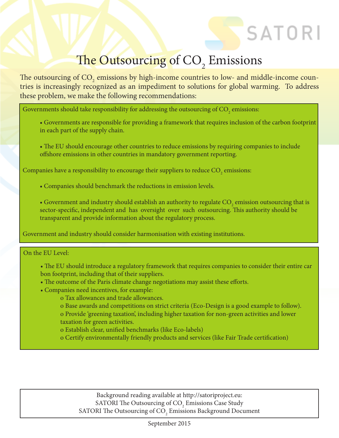# The Outsourcing of CO<sub>2</sub> Emissions

SATORI

The outsourcing of CO<sub>2</sub> emissions by high-income countries to low- and middle-income countries is increasingly recognized as an impediment to solutions for global warming. To address these problem, we make the following recommendations:

Governments should take responsibility for addressing the outsourcing of  $\mathrm{CO}_\mathrm{2}$  emissions:

- Governments are responsible for providing a framework that requires inclusion of the carbon footprint in each part of the supply chain.
- The EU should encourage other countries to reduce emissions by requiring companies to include offshore emissions in other countries in mandatory government reporting.

Companies have a responsibility to encourage their suppliers to reduce  $\mathrm{CO}_\mathrm{_2}$  emissions:

- Companies should benchmark the reductions in emission levels.
- Government and industry should establish an authority to regulate  $\mathrm{CO}_2$  emission outsourcing that is sector-specific, independent and has oversight over such outsourcing. This authority should be transparent and provide information about the regulatory process.

Government and industry should consider harmonisation with existing institutions.

On the EU Level:

- The EU should introduce a regulatory framework that requires companies to consider their entire car bon footprint, including that of their suppliers.
- The outcome of the Paris climate change negotiations may assist these efforts.
- Companies need incentives, for example:
	- o Tax allowances and trade allowances.
	- o Base awards and competitions on strict criteria (Eco-Design is a good example to follow).
	- o Provide 'greening taxation', including higher taxation for non-green activities and lower taxation for green activities.
	- o Establish clear, unified benchmarks (like Eco-labels)
	- o Certify environmentally friendly products and services (like Fair Trade certification)

Background reading available at http://satoriproject.eu: SATORI The Outsourcing of  $\mathrm{CO}_2$  Emissions Case Study SATORI The Outsourcing of  $\mathrm{CO}_2$  Emissions Background Document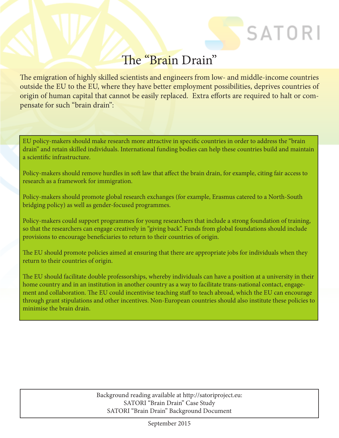#### The "Brain Drain"

SATORI

The emigration of highly skilled scientists and engineers from low- and middle-income countries outside the EU to the EU, where they have better employment possibilities, deprives countries of origin of human capital that cannot be easily replaced. Extra efforts are required to halt or compensate for such "brain drain":

EU policy-makers should make research more attractive in specific countries in order to address the "brain drain" and retain skilled individuals. International funding bodies can help these countries build and maintain a scientific infrastructure.

Policy-makers should remove hurdles in soft law that affect the brain drain, for example, citing fair access to research as a framework for immigration.

Policy-makers should promote global research exchanges (for example, Erasmus catered to a North-South bridging policy) as well as gender-focused programmes.

Policy-makers could support programmes for young researchers that include a strong foundation of training, so that the researchers can engage creatively in "giving back". Funds from global foundations should include provisions to encourage beneficiaries to return to their countries of origin.

The EU should promote policies aimed at ensuring that there are appropriate jobs for individuals when they return to their countries of origin.

The EU should facilitate double professorships, whereby individuals can have a position at a university in their home country and in an institution in another country as a way to facilitate trans-national contact, engagement and collaboration. The EU could incentivise teaching staff to teach abroad, which the EU can encourage through grant stipulations and other incentives. Non-European countries should also institute these policies to minimise the brain drain.

> Background reading available at http://satoriproject.eu: SATORI "Brain Drain" Case Study SATORI "Brain Drain" Background Document

> > September 2015